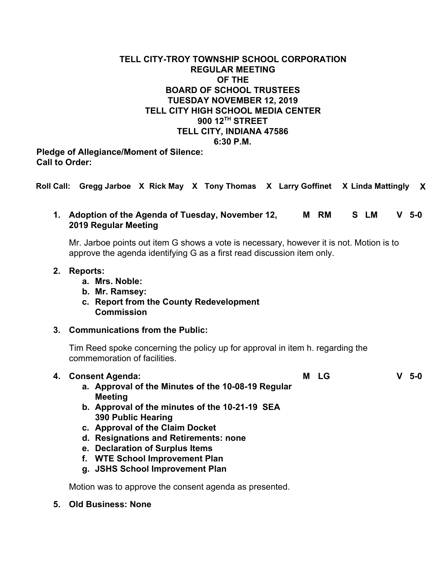# **TELL CITY-TROY TOWNSHIP SCHOOL CORPORATION REGULAR MEETING OF THE BOARD OF SCHOOL TRUSTEES TUESDAY NOVEMBER 12, 2019 TELL CITY HIGH SCHOOL MEDIA CENTER 900 12TH STREET TELL CITY, INDIANA 47586 6:30 P.M.**

**Pledge of Allegiance/Moment of Silence: Call to Order:**

**Roll Call: Gregg Jarboe X Rick May X Tony Thomas X Larry Goffinet X Linda Mattingly X**

## **1. Adoption of the Agenda of Tuesday, November 12, M RM S LM V 5-0 2019 Regular Meeting**

Mr. Jarboe points out item G shows a vote is necessary, however it is not. Motion is to approve the agenda identifying G as a first read discussion item only.

#### **2. Reports:**

- **a. Mrs. Noble:**
- **b. Mr. Ramsey:**
- **c. Report from the County Redevelopment Commission**

### **3. Communications from the Public:**

Tim Reed spoke concerning the policy up for approval in item h. regarding the commemoration of facilities.

| 4. | <b>Consent Agenda:</b>                                                      | М<br>LG | $5-0$ |
|----|-----------------------------------------------------------------------------|---------|-------|
|    | a. Approval of the Minutes of the 10-08-19 Regular<br><b>Meeting</b>        |         |       |
|    | b. Approval of the minutes of the 10-21-19 SEA<br><b>390 Public Hearing</b> |         |       |
|    | c. Approval of the Claim Docket                                             |         |       |
|    | d. Resignations and Retirements: none                                       |         |       |
|    | e. Declaration of Surplus Items                                             |         |       |
|    | f. WTE School Improvement Plan                                              |         |       |
|    | g. JSHS School Improvement Plan                                             |         |       |

Motion was to approve the consent agenda as presented.

### **5. Old Business: None**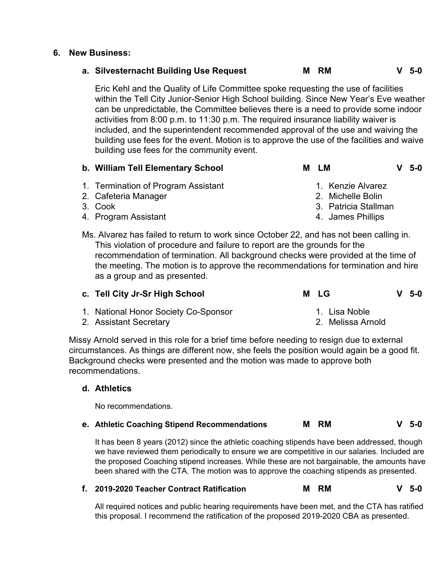#### **6. New Business:**

# **a. Silvesternacht Building Use Request M RM V 5-0**

Eric Kehl and the Quality of Life Committee spoke requesting the use of facilities within the Tell City Junior-Senior High School building. Since New Year's Eve weather can be unpredictable, the Committee believes there is a need to provide some indoor activities from 8:00 p.m. to 11:30 p.m. The required insurance liability waiver is included, and the superintendent recommended approval of the use and waiving the building use fees for the event. Motion is to approve the use of the facilities and waive building use fees for the community event.

| b. William Tell Elementary School | M LM | $V$ 5-0 |
|-----------------------------------|------|---------|
|-----------------------------------|------|---------|

- 1. Termination of Program Assistant
- 2. Cafeteria Manager
- 3. Cook
- 4. Program Assistant

1. Kenzie Alvarez

- 2. Michelle Bolin
- 3. Patricia Stallman
- 4. James Phillips
- Ms. Alvarez has failed to return to work since October 22, and has not been calling in. This violation of procedure and failure to report are the grounds for the recommendation of termination. All background checks were provided at the time of the meeting. The motion is to approve the recommendations for termination and hire as a group and as presented.

| c. Tell City Jr-Sr High School       | M LG              | $V5-0$ |
|--------------------------------------|-------------------|--------|
| 1. National Honor Society Co-Sponsor | 1. Lisa Noble     |        |
| 2. Assistant Secretary               | 2. Melissa Arnold |        |

2. Assistant Secretary

Missy Arnold served in this role for a brief time before needing to resign due to external circumstances. As things are different now, she feels the position would again be a good fit. Background checks were presented and the motion was made to approve both recommendations.

### **d. Athletics**

No recommendations.

### **e. Athletic Coaching Stipend Recommendations M RM V 5-0**

It has been 8 years (2012) since the athletic coaching stipends have been addressed, though we have reviewed them periodically to ensure we are competitive in our salaries. Included are the proposed Coaching stipend increases. While these are not bargainable, the amounts have been shared with the CTA. The motion was to approve the coaching stipends as presented.

# **f. 2019-2020 Teacher Contract Ratification M RM V 5-0**

All required notices and public hearing requirements have been met, and the CTA has ratified this proposal. I recommend the ratification of the proposed 2019-2020 CBA as presented.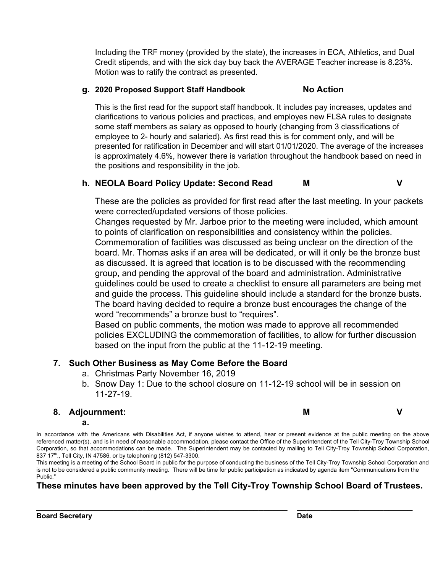Including the TRF money (provided by the state), the increases in ECA, Athletics, and Dual Credit stipends, and with the sick day buy back the AVERAGE Teacher increase is 8.23%. Motion was to ratify the contract as presented.

### **g. 2020 Proposed Support Staff Handbook No Action**

This is the first read for the support staff handbook. It includes pay increases, updates and clarifications to various policies and practices, and employes new FLSA rules to designate some staff members as salary as opposed to hourly (changing from 3 classifications of employee to 2- hourly and salaried). As first read this is for comment only, and will be presented for ratification in December and will start 01/01/2020. The average of the increases is approximately 4.6%, however there is variation throughout the handbook based on need in the positions and responsibility in the job.

## **h. NEOLA Board Policy Update: Second Read M V**

These are the policies as provided for first read after the last meeting. In your packets were corrected/updated versions of those policies.

Changes requested by Mr. Jarboe prior to the meeting were included, which amount to points of clarification on responsibilities and consistency within the policies. Commemoration of facilities was discussed as being unclear on the direction of the board. Mr. Thomas asks if an area will be dedicated, or will it only be the bronze bust as discussed. It is agreed that location is to be discussed with the recommending group, and pending the approval of the board and administration. Administrative guidelines could be used to create a checklist to ensure all parameters are being met and guide the process. This guideline should include a standard for the bronze busts. The board having decided to require a bronze bust encourages the change of the word "recommends" a bronze bust to "requires".

Based on public comments, the motion was made to approve all recommended policies EXCLUDING the commemoration of facilities, to allow for further discussion based on the input from the public at the 11-12-19 meeting.

# **7. Such Other Business as May Come Before the Board**

- a. Christmas Party November 16, 2019
- b. Snow Day 1: Due to the school closure on 11-12-19 school will be in session on 11-27-19.

### **8. Adjournment:**

**a.**

In accordance with the Americans with Disabilities Act, if anyone wishes to attend, hear or present evidence at the public meeting on the above referenced matter(s), and is in need of reasonable accommodation, please contact the Office of the Superintendent of the Tell City-Troy Township School Corporation, so that accommodations can be made. The Superintendent may be contacted by mailing to Tell City-Troy Township School Corporation, 837 17<sup>th</sup>., Tell City, IN 47586, or by telephoning (812) 547-3300.

This meeting is a meeting of the School Board in public for the purpose of conducting the business of the Tell City-Troy Township School Corporation and is not to be considered a public community meeting. There will be time for public participation as indicated by agenda item "Communications from the Public."

# **These minutes have been approved by the Tell City-Troy Township School Board of Trustees.**

**\_\_\_\_\_\_\_\_\_\_\_\_\_\_\_\_\_\_\_\_\_\_\_\_\_\_\_\_\_\_\_\_\_\_\_\_\_\_\_\_\_\_\_\_\_\_\_\_\_\_\_\_ \_\_\_\_\_\_\_\_\_\_\_\_\_\_\_\_\_\_\_\_\_\_\_\_**

**M V**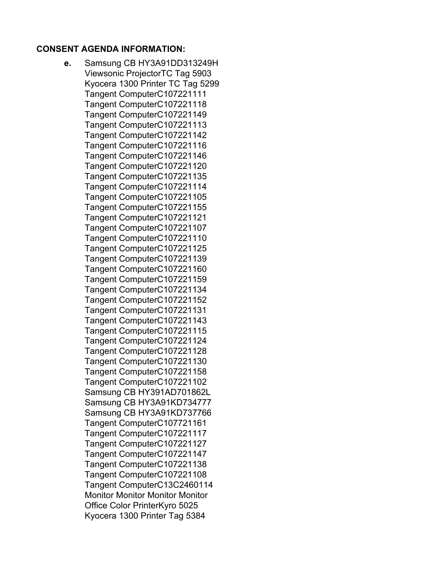## **CONSENT AGENDA INFORMATION:**

**e.** Samsung CB HY3A91DD313249H Viewsonic ProjectorTC Tag 5903 Kyocera 1300 Printer TC Tag 5299 Tangent ComputerC107221111 Tangent ComputerC107221118 Tangent ComputerC107221149 Tangent ComputerC107221113 Tangent ComputerC107221142 Tangent ComputerC107221116 Tangent ComputerC107221146 Tangent ComputerC107221120 Tangent ComputerC107221135 Tangent ComputerC107221114 Tangent ComputerC107221105 Tangent ComputerC107221155 Tangent ComputerC107221121 Tangent ComputerC107221107 Tangent ComputerC107221110 Tangent ComputerC107221125 Tangent ComputerC107221139 Tangent ComputerC107221160 Tangent ComputerC107221159 Tangent ComputerC107221134 Tangent ComputerC107221152 Tangent ComputerC107221131 Tangent ComputerC107221143 Tangent ComputerC107221115 Tangent ComputerC107221124 Tangent ComputerC107221128 Tangent ComputerC107221130 Tangent ComputerC107221158 Tangent ComputerC107221102 Samsung CB HY391AD701862L Samsung CB HY3A91KD734777 Samsung CB HY3A91KD737766 Tangent ComputerC107721161 Tangent ComputerC107221117 Tangent ComputerC107221127 Tangent ComputerC107221147 Tangent ComputerC107221138 Tangent ComputerC107221108 Tangent ComputerC13C2460114 Monitor Monitor Monitor Monitor Office Color PrinterKyro 5025 Kyocera 1300 Printer Tag 5384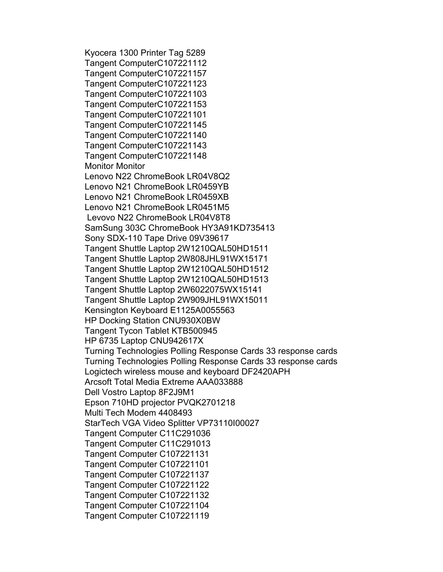Kyocera 1300 Printer Tag 5289 Tangent ComputerC107221112 Tangent ComputerC107221157 Tangent ComputerC107221123 Tangent ComputerC107221103 Tangent ComputerC107221153 Tangent ComputerC107221101 Tangent ComputerC107221145 Tangent ComputerC107221140 Tangent ComputerC107221143 Tangent ComputerC107221148 Monitor Monitor Lenovo N22 ChromeBook LR04V8Q2 Lenovo N21 ChromeBook LR0459YB Lenovo N21 ChromeBook LR0459XB Lenovo N21 ChromeBook LR0451M5 Levovo N22 ChromeBook LR04V8T8 SamSung 303C ChromeBook HY3A91KD735413 Sony SDX-110 Tape Drive 09V39617 Tangent Shuttle Laptop 2W1210QAL50HD1511 Tangent Shuttle Laptop 2W808JHL91WX15171 Tangent Shuttle Laptop 2W1210QAL50HD1512 Tangent Shuttle Laptop 2W1210QAL50HD1513 Tangent Shuttle Laptop 2W6022075WX15141 Tangent Shuttle Laptop 2W909JHL91WX15011 Kensington Keyboard E1125A0055563 HP Docking Station CNU930X0BW Tangent Tycon Tablet KTB500945 HP 6735 Laptop CNU942617X Turning Technologies Polling Response Cards 33 response cards Turning Technologies Polling Response Cards 33 response cards Logictech wireless mouse and keyboard DF2420APH Arcsoft Total Media Extreme AAA033888 Dell Vostro Laptop 8F2J9M1 Epson 710HD projector PVQK2701218 Multi Tech Modem 4408493 StarTech VGA Video Splitter VP73110I00027 Tangent Computer C11C291036 Tangent Computer C11C291013 Tangent Computer C107221131 Tangent Computer C107221101 Tangent Computer C107221137 Tangent Computer C107221122 Tangent Computer C107221132 Tangent Computer C107221104 Tangent Computer C107221119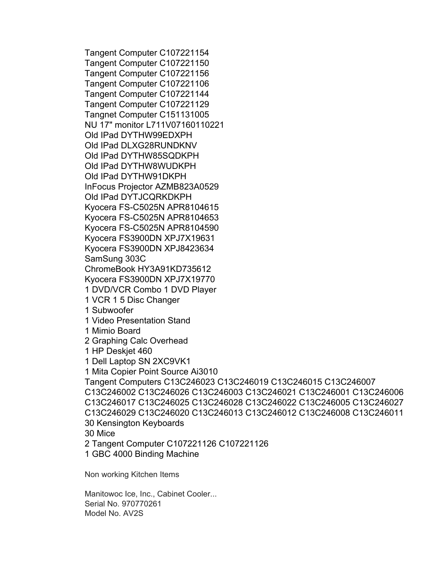Tangent Computer C107221154 Tangent Computer C107221150 Tangent Computer C107221156 Tangent Computer C107221106 Tangent Computer C107221144 Tangent Computer C107221129 Tangnet Computer C151131005 NU 17" monitor L711V07160110221 Old IPad DYTHW99EDXPH Old IPad DLXG28RUNDKNV Old IPad DYTHW85SQDKPH Old IPad DYTHW8WUDKPH Old IPad DYTHW91DKPH InFocus Projector AZMB823A0529 Old IPad DYTJCQRKDKPH Kyocera FS-C5025N APR8104615 Kyocera FS-C5025N APR8104653 Kyocera FS-C5025N APR8104590 Kyocera FS3900DN XPJ7X19631 Kyocera FS3900DN XPJ8423634 SamSung 303C ChromeBook HY3A91KD735612 Kyocera FS3900DN XPJ7X19770 1 DVD/VCR Combo 1 DVD Player 1 VCR 1 5 Disc Changer 1 Subwoofer 1 Video Presentation Stand 1 Mimio Board 2 Graphing Calc Overhead 1 HP Deskjet 460 1 Dell Laptop SN 2XC9VK1 1 Mita Copier Point Source Ai3010 Tangent Computers C13C246023 C13C246019 C13C246015 C13C246007 C13C246002 C13C246026 C13C246003 C13C246021 C13C246001 C13C246006 C13C246017 C13C246025 C13C246028 C13C246022 C13C246005 C13C246027 C13C246029 C13C246020 C13C246013 C13C246012 C13C246008 C13C246011 30 Kensington Keyboards 30 Mice 2 Tangent Computer C107221126 C107221126 1 GBC 4000 Binding Machine

Non working Kitchen Items

Manitowoc Ice, Inc., Cabinet Cooler... Serial No. 970770261 Model No. AV2S